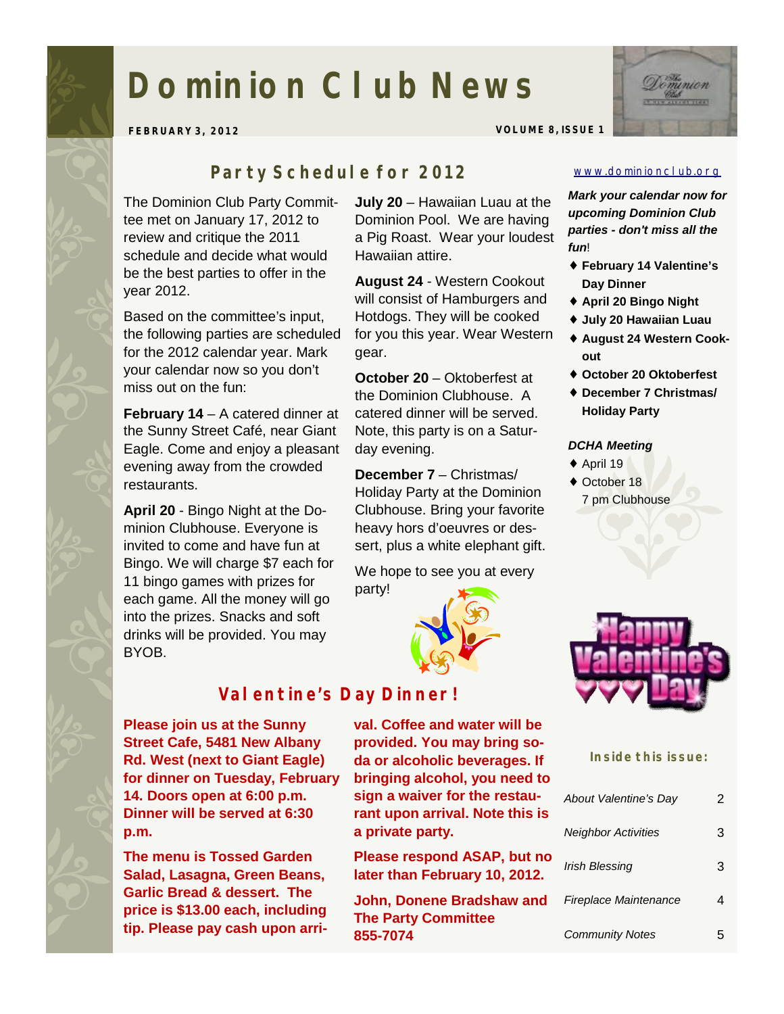# **Dominion Club News**



**FEBRUARY 3, 2012 VOLUME 8, ISSUE 1** 

### *Party Schedule for 2012*

The Dominion Club Party Committee met on January 17, 2012 to review and critique the 2011 schedule and decide what would be the best parties to offer in the year 2012.

Based on the committee's input, the following parties are scheduled for the 2012 calendar year. Mark your calendar now so you don't miss out on the fun:

**February 14** – A catered dinner at the Sunny Street Café, near Giant Eagle. Come and enjoy a pleasant evening away from the crowded restaurants.

**April 20** - Bingo Night at the Dominion Clubhouse. Everyone is invited to come and have fun at Bingo. We will charge \$7 each for 11 bingo games with prizes for each game. All the money will go into the prizes. Snacks and soft drinks will be provided. You may BYOB.

**July 20** – Hawaiian Luau at the Dominion Pool. We are having a Pig Roast. Wear your loudest Hawaiian attire.

**August 24** - Western Cookout will consist of Hamburgers and Hotdogs. They will be cooked for you this year. Wear Western gear.

**October 20** – Oktoberfest at the Dominion Clubhouse. A catered dinner will be served. Note, this party is on a Saturday evening.

**December 7** – Christmas/ Holiday Party at the Dominion Clubhouse. Bring your favorite heavy hors d'oeuvres or dessert, plus a white elephant gift.

We hope to see you at every party!



## *Valentine's Day Dinner!*

**Please join us at the Sunny Street Cafe, 5481 New Albany Rd. West (next to Giant Eagle) for dinner on Tuesday, February 14. Doors open at 6:00 p.m. Dinner will be served at 6:30 p.m.** 

**The menu is Tossed Garden Salad, Lasagna, Green Beans, Garlic Bread & dessert. The price is \$13.00 each, including tip. Please pay cash upon arri-**

**val. Coffee and water will be provided. You may bring soda or alcoholic beverages. If bringing alcohol, you need to sign a waiver for the restaurant upon arrival. Note this is a private party.** 

**Please respond ASAP, but no later than February 10, 2012.** 

**John, Donene Bradshaw and The Party Committee 855-7074** 

#### [www.dominionclub.org](http://www.dominionclub.org)

*Mark your calendar now for upcoming Dominion Club parties - don't miss all the fun*!

- ♦ **February 14 Valentine's Day Dinner**
- ♦ **April 20 Bingo Night**
- ♦ **July 20 Hawaiian Luau**
- ♦ **August 24 Western Cookout**
- ♦ **October 20 Oktoberfest**
- ♦ **December 7 Christmas/ Holiday Party**

#### *DCHA Meeting*

- $\triangle$  April 19
- ♦ October 18 7 pm Clubhouse



#### **Inside this issue:**

| About Valentine's Day      | 2 |
|----------------------------|---|
| <b>Neighbor Activities</b> | З |
| Irish Blessing             | 3 |
| Fireplace Maintenance      |   |
| <b>Community Notes</b>     |   |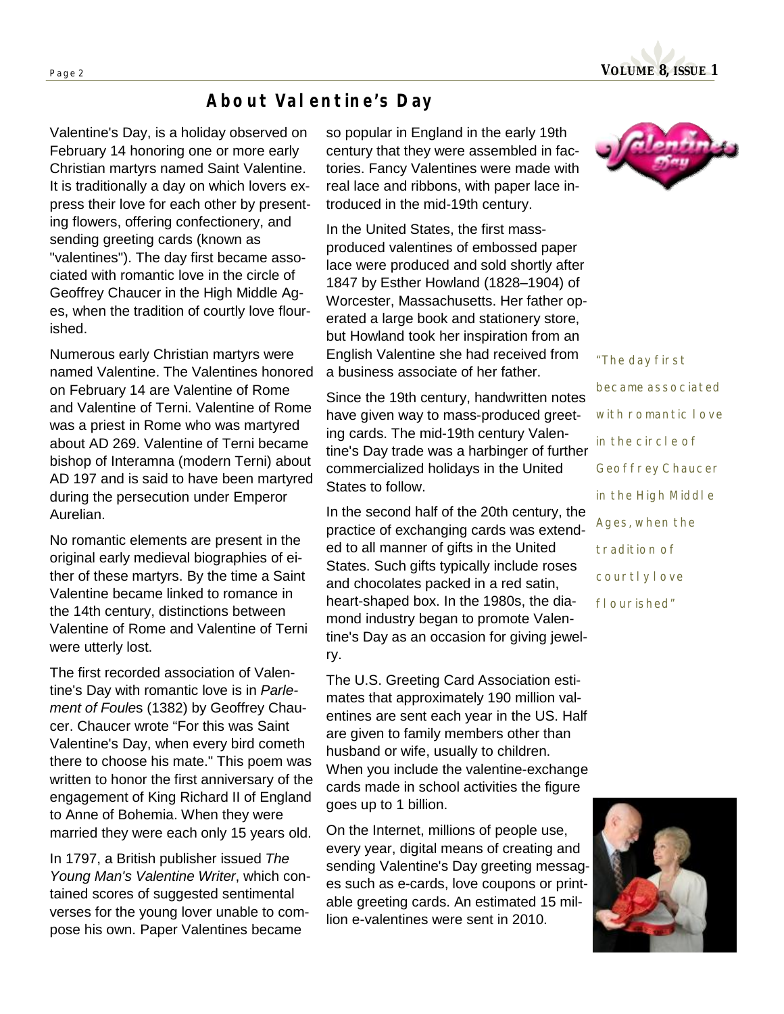

#### *About Valentine's Day*

Valentine's Day, is a holiday observed on February 14 honoring one or more early Christian martyrs named Saint Valentine. It is traditionally a day on which lovers express their love for each other by presenting flowers, offering confectionery, and sending greeting cards (known as "valentines"). The day first became associated with romantic love in the circle of Geoffrey Chaucer in the High Middle Ages, when the tradition of courtly love flourished.

Numerous early Christian martyrs were named Valentine. The Valentines honored on February 14 are Valentine of Rome and Valentine of Terni. Valentine of Rome was a priest in Rome who was martyred about AD 269. Valentine of Terni became bishop of Interamna (modern Terni) about AD 197 and is said to have been martyred during the persecution under Emperor Aurelian.

No romantic elements are present in the original early medieval biographies of either of these martyrs. By the time a Saint Valentine became linked to romance in the 14th century, distinctions between Valentine of Rome and Valentine of Terni were utterly lost.

The first recorded association of Valentine's Day with romantic love is in *Parlement of Foule*s (1382) by Geoffrey Chaucer. Chaucer wrote "For this was Saint Valentine's Day, when every bird cometh there to choose his mate." This poem was written to honor the first anniversary of the engagement of King Richard II of England to Anne of Bohemia. When they were married they were each only 15 years old.

In 1797, a British publisher issued *The Young Man's Valentine Writer*, which contained scores of suggested sentimental verses for the young lover unable to compose his own. Paper Valentines became

so popular in England in the early 19th century that they were assembled in factories. Fancy Valentines were made with real lace and ribbons, with paper lace introduced in the mid-19th century.

In the United States, the first massproduced valentines of embossed paper lace were produced and sold shortly after 1847 by Esther Howland (1828–1904) of Worcester, Massachusetts. Her father operated a large book and stationery store, but Howland took her inspiration from an English Valentine she had received from a business associate of her father.

Since the 19th century, handwritten notes have given way to mass-produced greeting cards. The mid-19th century Valentine's Day trade was a harbinger of further commercialized holidays in the United States to follow.

In the second half of the 20th century, the practice of exchanging cards was extended to all manner of gifts in the United States. Such gifts typically include roses and chocolates packed in a red satin, heart-shaped box. In the 1980s, the diamond industry began to promote Valentine's Day as an occasion for giving jewelry.

The U.S. Greeting Card Association estimates that approximately 190 million valentines are sent each year in the US. Half are given to family members other than husband or wife, usually to children. When you include the valentine-exchange cards made in school activities the figure goes up to 1 billion.

On the Internet, millions of people use, every year, digital means of creating and sending Valentine's Day greeting messages such as e-cards, love coupons or printable greeting cards. An estimated 15 million e-valentines were sent in 2010.



*"The day first became associated with romantic love in the circle of Geoffrey Chaucer in the High Middle Ages, when the tradition of courtly love flourished"* 

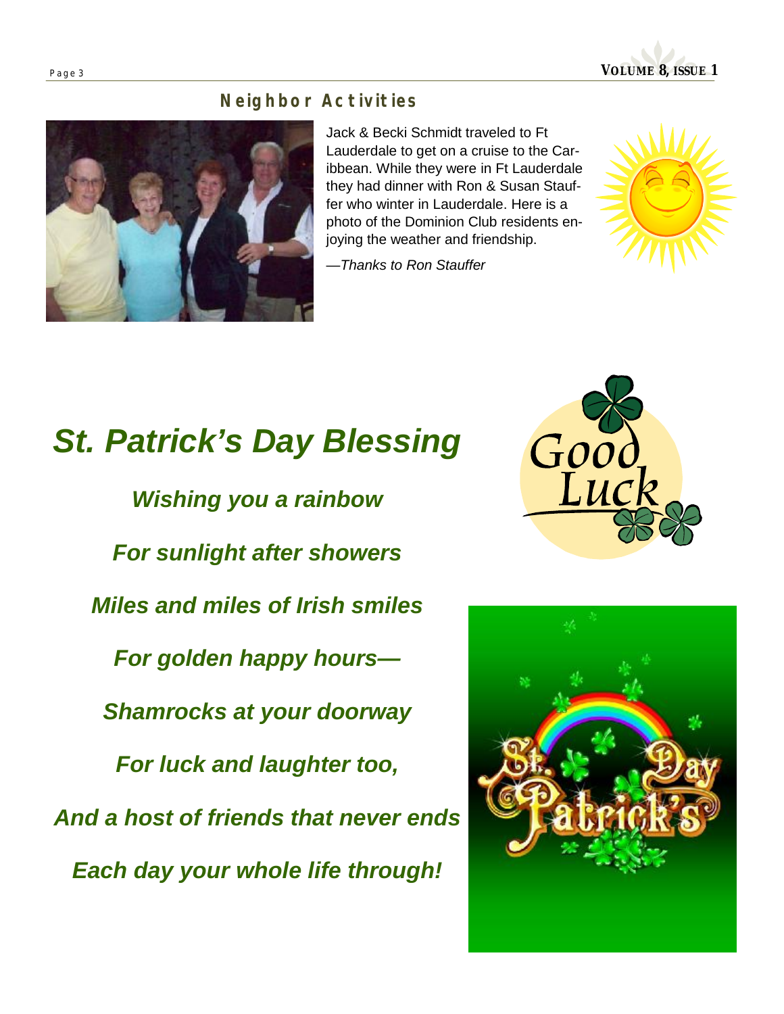**Page <sup>3</sup>VOLUME 8, ISSUE 1** 

### *Neighbor Activities*

Jack & Becki Schmidt traveled to Ft Lauderdale to get on a cruise to the Caribbean. While they were in Ft Lauderdale they had dinner with Ron & Susan Stauffer who winter in Lauderdale. Here is a photo of the Dominion Club residents enjoying the weather and friendship.

—*Thanks to Ron Stauffer* 

# *St. Patrick's Day Blessing Wishing you a rainbow For sunlight after showers Miles and miles of Irish smiles For golden happy hours— Shamrocks at your doorway For luck and laughter too, And a host of friends that never ends*

*Each day your whole life through!* 





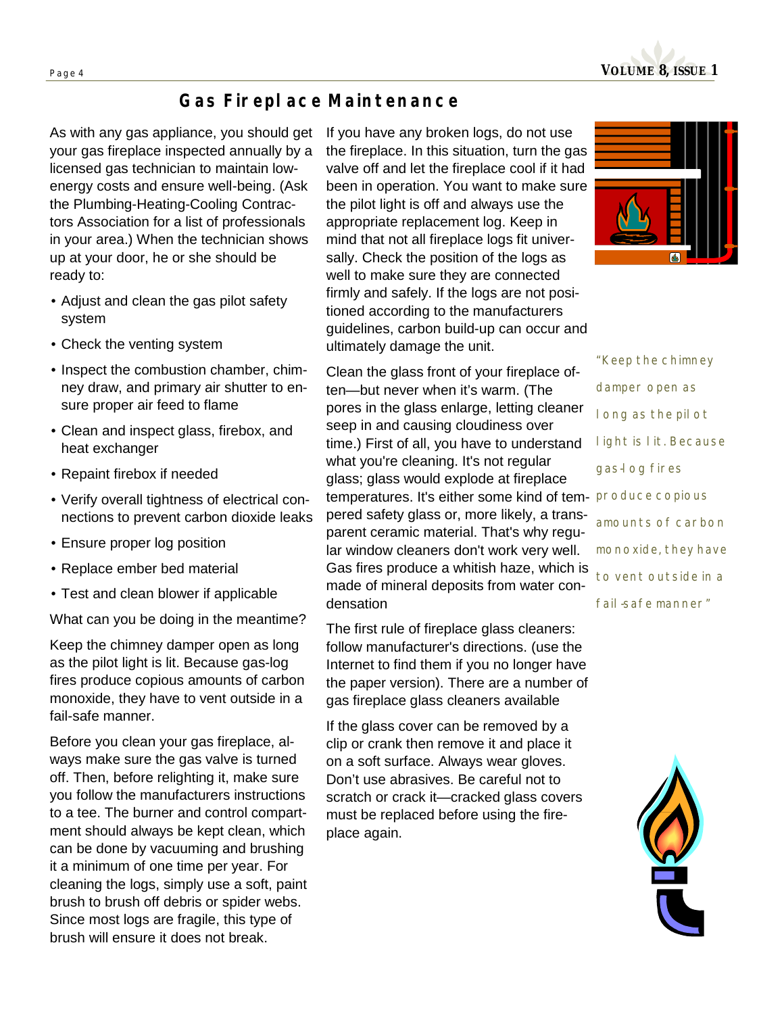

## *Gas Fireplace Maintenance*

As with any gas appliance, you should get your gas fireplace inspected annually by a licensed gas technician to maintain lowenergy costs and ensure well-being. (Ask the Plumbing-Heating-Cooling Contractors Association for a list of professionals in your area.) When the technician shows up at your door, he or she should be ready to:

- Adjust and clean the gas pilot safety system
- Check the venting system
- Inspect the combustion chamber, chimney draw, and primary air shutter to ensure proper air feed to flame
- Clean and inspect glass, firebox, and heat exchanger
- Repaint firebox if needed
- Verify overall tightness of electrical connections to prevent carbon dioxide leaks
- Ensure proper log position
- Replace ember bed material
- Test and clean blower if applicable

What can you be doing in the meantime?

Keep the chimney damper open as long as the pilot light is lit. Because gas-log fires produce copious amounts of carbon monoxide, they have to vent outside in a fail-safe manner.

Before you clean your gas fireplace, always make sure the gas valve is turned off. Then, before relighting it, make sure you follow the manufacturers instructions to a tee. The burner and control compartment should always be kept clean, which can be done by vacuuming and brushing it a minimum of one time per year. For cleaning the logs, simply use a soft, paint brush to brush off debris or spider webs. Since most logs are fragile, this type of brush will ensure it does not break.

If you have any broken logs, do not use the fireplace. In this situation, turn the gas valve off and let the fireplace cool if it had been in operation. You want to make sure the pilot light is off and always use the appropriate replacement log. Keep in mind that not all fireplace logs fit universally. Check the position of the logs as well to make sure they are connected firmly and safely. If the logs are not positioned according to the manufacturers guidelines, carbon build-up can occur and ultimately damage the unit.

Clean the glass front of your fireplace often—but never when it's warm. (The pores in the glass enlarge, letting cleaner seep in and causing cloudiness over time.) First of all, you have to understand what you're cleaning. It's not regular glass; glass would explode at fireplace temperatures. It's either some kind of tem-*produce copious*  pered safety glass or, more likely, a transparent ceramic material. That's why regular window cleaners don't work very well. Gas fires produce a whitish haze, which is made of mineral deposits from water condensation

The first rule of fireplace glass cleaners: follow manufacturer's directions. (use the Internet to find them if you no longer have the paper version). There are a number of gas fireplace glass cleaners available

If the glass cover can be removed by a clip or crank then remove it and place it on a soft surface. Always wear gloves. Don't use abrasives. Be careful not to scratch or crack it—cracked glass covers must be replaced before using the fireplace again.



*"Keep the chimney damper open as long as the pilot light is lit. Because gas-log fires amounts of carbon monoxide, they have to vent outside in a fail-safe manner"*